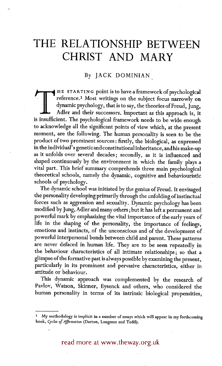# **THE RELATIONSHIP BETWEEN CHRIST AND MARY**

# By JACK DOMINIAN

THE STARTING point is to have a framework of psychological<br>reference.<sup>1</sup> Most writings on the subject focus narrowly on<br>dynamic psychology, that is to say, the theories of Freud, Jung,<br>Adler and their successors. Important reference.<sup>1</sup> Most writings on the subject focus narrowly on dynamic psychology, that is to say, the theories of Freud, Jung, Adler and their successors. Important as this approach is, it is insufficient. The psychological framework needs to be wide enough to acknowledge all the significant points of view which, at the present moment, are the following. The human personality is seen to be the product of two prominent sources: firstly, the biological, as expressed in the individual' s gene tic and constitutional inheritance, and his make-up as it unfolds over several decades; secondly, as it is influenced and shaped continuously by the environment in which the family plays a vital part. This brief summary comprehends three main psychological theoretical schools, namely the dynamic, cognitive and behaviouristic schools of psychology.

The dynamic school was initiated by the genius of Freud. It envisaged the personality developing primarily through the unfolding of instinctual forces such as aggression and sexuality. Dynamic psychology has been modified by Jung, Adler and many others; but it has left a permanent and powerful mark by emphasizing the vital importance of the early years of life in the shaping of the personality, the importance of feelings, emotions and instincts, of the unconscious and of the development of powerful interpersonal bonds between child and parent. These patterns are never defaced in human life. They are to be seen repeatedly in the behaviour characteristics of all intimate relationships; so that a glimpse of the formative past is always possible by examining the present, particularly in its prominent and pervasive characteristics, either in attitude or behaviour.

This dynamic approach was complemented by the research of Parlor, Watson, Skinner, Eysenck and others, who considered the human personality in terms of its intrinsic biological propensities,

read more at www.theway.org.uk

<sup>1</sup> My methodology is implicit in a number of essays which will appear in my forthcoming book, *Cycles of Afflrmation* (Darton, Longman and Todd).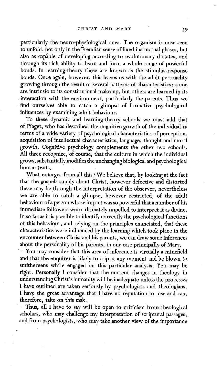particularly the neuro-physiological ones. The organism is now seen to unfold, not only in the Freudian sense of fixed instinctual phases, but also as capable of developing according to evolutionary dictates, and through its rich ability to learn and form a whole range of powerful bonds. In learning-theory these are known as the stimulus-response bonds. Once again, however, this leaves us with the adult personality growing through the result of several patterns of characteristics : some are intrinsic to its constitutional make-up, but others are learned in its interaction with the environment, particularly the parents. Thus we find ourselves able to catch a glimpse of formative psychological influences by examining adult behaviour.

To these dynamic and learning-theory schools we must add that of Piaget, who has described the cognitive growth of the individual in terms of a wide variety of psychological characteristics of perception, acquisition of intellectual characteristics, language, thought and moral growth. Cognitive psychology complements the other two schools. All three recognize, of course, that the culture in which the individual grows, substantially modifies the unchanging biological and psychological human traits.

What emerges from all this? We believe that, by looking at the fact that the gospels supply about Christ, however defective and distorted these may be through the interpretation of the observer, nevertheless we are able to catch a glimpse, however restricted, of the adult behaviour of a person whose impact was so powerful that a number of his immediate followers were ultimately impelled to interpret it as divine. In so far as it is possible to identify correctly the psychological functions of this behaviour, and relying on the principles enunciated, that these characteristics were influenced by the learning which took place in the encounter between Christ and his parents, we can draw some inferences about the personality of his parents, in our case principally of Mary.

You may consider that this area of inference is virtually a minefield and that the enquirer is likely to trip at any moment and be blown to smithereens while engaged on this particular analysis. You may be right. Personally i consider that the current changes in theology in understanding Christ's humanity will be inadequate unless the processes I have outlined are taken seriously by psychologists and theologians. I have the great advantage that I have no reputation to lose and can, therefore, take on this task.

Thus, all I have to say will be open to criticism from theological scholars, who may challenge my interpretation of scriptural passages, and from psychologists, who may take another view of the importance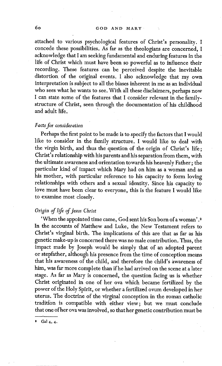attached to various psychological features of Christ's personality. I concede these possibilities. As far as the theologians are concerned, I acknowledge that I am seeking fundamental and enduring features in the life of Christ which must have been so powerful as to influence their recording. These features can be perceived despite the inevitable distortion of the original events. I also acknowledge that my own interpretation is subject to all the biases inherent in me as an individual who sees what he wants to see. With all these disclaimers, perhaps now I can state some of the features that I consider relevant in the familystructure of Christ, seen through the documentation of his childhood and adult life.

#### *Facts for consideration*

Perhaps the first point to be made is to specify the factors that I would like to consider in the family structure. I would like to deal with the virgin birth, and thus the question of the origin of Christ's life; Christ's relationship with his parents and his separation from them, with the ultimate awareness and orientation towards his heavenly Father; the particular kind of impact which Mary had on him as a woman and as his mother, with particular reference to his capacity to form loving relationships with others and a sexual identity. Since his capacity to love must have been clear to everyone, this is the feature I would like to examine most closely.

## *Origin of life of Jesus Christ*

'When the appointed time came, God sent his Son born of a woman' .2 In the accounts of Matthew and Luke, the New Testament refers to Christ's virginal birth. The implications of this are that as far as his genetic make-up is concerned there was no male contribution. Thus, the impact made by Joseph would be simply that of an adopted parent or stepfather, although his presence from the time of conception means that his awareness of the child, and therefore the child's awareness of him, was far more complete than if he had arrived on the scene at a later stage. As far as Mary is concerned, the question facing us is whether Christ originated in one of her ova which became fertilized by the power of the Holy Spirit, or whether a fertilized ovum developed in her uterus. The doctrine of the virginal conception in the roman catholic tradition is compatible with either view; but we must conclude that one of her ova was involved, so that her genetic contribution must he

,r

Gal 4, 4.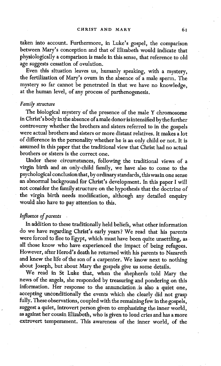taken into account. Furthermore, in Luke's gospel, the comparison between Mary's conception and that of Elizabeth would indicate that physiologically a comparison is made in this sense, that reference to old age suggests cessation of ovulation.

Even this situation leaves us, humanly speaking, with a mystery, the fertilization of Mary's ovum in the absence of a male sperm. The mystery so far cannot be penetrated in that we have no knowledge, at the human level, of any process of parthenogenesis.

#### *Family structure*

The biological mystery of the presence of the male Y chromosome in Christ's body in the absence of a male donor is intensified by the further controversy whether the brothers and sisters referred to in the gospels were actual brothers and sisters or more distant relatives. It makes a lot of difference in the personality whether he is an only child or not. It is assumed in this paper that the traditional view that Christ had no actual brothers or sisters is the correct one.

Under these circumstances, following the traditional views of a virgin birth and an only-child family, we have also to come to the psychological conclusion that, by ordinary standards, this was in one sense an abnormal background for Christ's development. In this paper I will not consider the family structure on the hypothesis that the doctrine of the virgin birth needs modification, although any detailed enquiry would also have to pay attention to this.

# *Influence of parents*

In addition to these traditionally held beliefs, what other information do we have regarding Christ's early years ? We read that his parents were forced to flee to Egypt, which must have been quite unsettling, as all those know who have experienced the impact of being refugees. However, after Herod's death he returned with his parents to Nazareth and knew the life of the son of a carpenter. We know next to nothing about Joseph, but about Mary the gospels give us some details.

We read in St Luke that, when the shepherds told Mary the news of the angels, she responded by treasuring and pondering on this information. Her response to the annunciation.is also a quiet one, accepting unconditionally the events which she clearly did not grasp fully. These observations, coupled with the remaining few in the gospels, suggest a quiet, introvert person given to emphasizing the inner world, as against her cousin Elizabeth, who is given to loud cries and has a more extrovert temperament. This awareness of the inner world, of the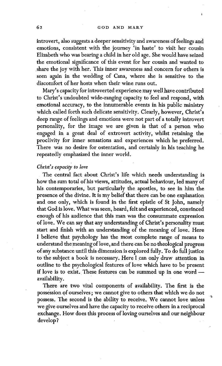#### 62 GOD AND MARY

introvert, also suggests a deeper sensitivity and awareness of feelings and emotions, consistent with the journey 'in haste' to visit her cousin Elizabeth who was bearing a child in her old age. She would have seized the emotional significance of this event for her cousin and wanted to share the joy with her. This inner awareness and concern for others is seen again in the wedding of Cana, where she is sensitive to the discomfort of her hosts when their wine runs out.

Mary's capacity for introverted experience may well have contributed to Christ's undoubted wide-ranging capacity to feel and respond, with emotional accuracy, to the innumerable events in his public ministry which called forth such delicate sensitivity. Clearly, however, Christ's deep range of feelings and emotions were not part of a totally introvert personality, for the image we are given is that of a person who engaged in a great deal of extrovert activity, whilst retaining the proclivity for inner sensations and experiences which he preferred. There was no desire for ostentation, and certainly in his teaching he repeatedly emphasized the inner world.

#### *Christ's capacity to love*

The central fact about Christ's life which needs understanding is how the sum total of his views, attitudes, actual behaviour, led many of his contemporaries, but particularly the apostles, to see in him the presence of the divine. It is my belief that there can be one explanation and one only, which is found in the first epistle of St John, namely that God is love. What was seen, heard, felt and experienced, convinced enough of his audience that this man was the consummate expression of love. We can say that any understanding of Christ's personality must start and finish with an understanding of the meaning of love. Here I believe that psychology has the most complete range of means to understand the meaning of love, and there can be no theological progress of any substance until this dimension is explored fully. To do full justice to the subject a book is necessary. Here I can only draw attention in outline to the psychological features of love which have to be present if love is to exist. These features can be summed up in one word availability.

There are two vital components of availability. The first is the possession of ourselves; we cannot give to others that which we do not possess. The second is the ability to receive. We cannot love unless we give ourselves and have the capacity to receive others in a reciprocal exchange. How does this process of loving ourselves and our neighbour develop?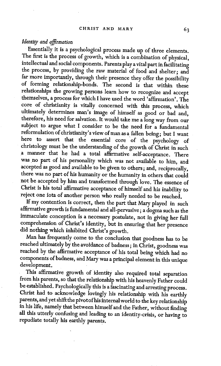# *Identity and affrraation*

Essentially it is a psychological process made up of three elements. The first is the process of growth, which is a combination of physical, intellectual and social components. Parents play a vital part in facilitating the process, by providing the raw material of food and shelter; and far more importantly, through their presence they offer the possibility of forming relationship-bonds. The second is that within these relationships the growing persons learn how to recognize and accept themselves, a process for which I have used the word 'affirmation', The core of christianity is vitally concerned with this process, which ultimately determines man's image of himself as good or bad and, therefore, his need for salvation. It would take me a long way from our subject to argue what I consider to be the need for a fundamental reformulation of christianity's view of man as a fallen being; but I want here to assert that the essential core of the psychology of christology must be the understanding of the growth of Christ in such a manner that he had a total affirmative self-acceptance. There was no part of his personality which was not available to him, and accepted as good and available to be given to others; and, reciprocally, there was no part of his humanity or the humanity in others that could not be accepted by him and transformed through love. The essence of Christ is his total affirmative acceptance of himself and his inability to reject one iota of another person who really needed to be reached.

If my contention is correct, then the part that Mary played in such affirmative growth is fundamental and all-pervasive; a dogma such as the immaculate conception is a necessary postulate, not in giving her full comprehension of Christ's identity, but in ensuring that her presence did nothing which inhibited Christ's growth.

Man has frequently come to the conclusion that goodness has to be reached ultimately by the avoidance of badness; in Christ, goodness was reached by the affirmative acceptance of his total being which had no components of badness, and Mary was a principal element in this unique development.

This affirmative growth of identity also required total separation from his parents, so that the relationship with his heavenly Father could be established. Psychologically this is a fascinating and arresting process. Christ had to acknowledge lovingly his relationship with his earthly parents, and yet shift the pivot of his internalworld to the key relationship in his life, namely that between himself and the Father, without finding all this utterly confusing and leading to an identity-crisis, or having to repudiate totally his earthly parents.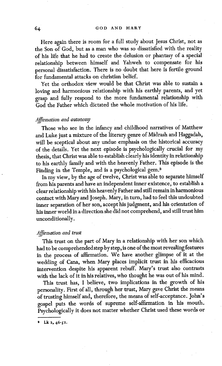Here again there is room for a full study about Jesus Christ, not as the Son of God, but as a man who was so dissatisfied with the reality of his life that he had to create the delusion or phantasy of a special relationship between himself and Yahweh to compensate for his personal dissatisfaction. There is no doubt that here is fertile ground for fundamental attacks on christian belief.

Yet the orthodox view would be that Christ was able to sustain a loving and harmonious relationship With his earthly parents, and yet grasp and fully respond to the more fundamental relationship with God the Father which dictated the whole motivation of his life.

#### *Aj~rmation and autonomy*

Those who see in the infancy and childhood narratives of Matthew and Luke just a mixture of the literary genre of Midrash and Haggadah, will be sceptical about any undue emphasis on the historical accuracy of the details. Yet the next episode is psychologically crucial for my thesis, that Christ was able to establish clearly his identity in relationship to his earthly family and with the heavenly Father. This episode is the Finding in the Temple, and is a psychological gem. 8

In my view, by the age of twelve, Christ was able to separate himself from his parents and have an independent inner existence, to establish a clear relationship with his heavenly Father and still remain in harmonious contact with Mary and Joseph. Mary, in turn, had to feel this undoubted inner separation of her son, accept his judgment, and his orientation of his inner world in a direction she did not comprehend, and still trust him unconditionally.

#### *Affirmation and trust*

This trust on the part of Mary in a relationship with her son which had to be comprehended step by step, is one of the most revealing features in the process of affirmation. We have another glimpse of it at the wedding of Cana, when Mary places implicit trust in his efficacious intervention despite his apparent rebuff. Mary's trust also contrasts with the lack of it in his relatives, who thought he was out of his mind.

This trust has, I believe, two implications in the growth of his personality. First of all, through her trust, Mary gave Christ the means of trusting himself and, therefore, the means of self-acceptance. John's gospel puts the words of supreme self-affirmation in his mouth. Psychologically it does not matter whether Christ used these words or

Lk 2, 46-S2.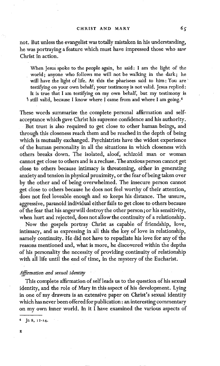not. But unless the evangelist was totally mistaken in his understanding, he was portraying a feature which must have impressed those who saw Christ in action.

When jesus spoke to the people again, he said: I am the light of the • world; anyone who follows me will not be walking in the dark; he will have the light of life. At this the pharisees said to him: You are testifying on your own behalf; your testimony is not valid. Jesus replied: It is true that I am testifying on my own behalf, but my testimony is \* still valid, because I know where I came from and where I am going.<sup>4</sup>

These words summarize the complete personal affirmation and selfacceptance which gave Christ his supreme confidence and his authority. But trust is also required to get close to other human beings, and through this closeness reach them and be reached in the depth of being which is mutually exchanged. Psychiatrists have the widest experience of the human personality in all the situations in which closeness with others breaks down. The isolated, aloof, schizoid man or woman cannot get close to others and is a recluse. The anxious person cannot get close to others because intimacy is threatening, either in generating anxiety and tension in physical proximity, or the fear of being taken over by the other and of being overwhelmed. The insecure person cannot get close to others because he does not feel worthy of their attention, does not feel loveable enough and so keeps his distance. The unsure, aggressive, paranoid individual either fails to get close to others because of the fear that his angerwill destroy the other person; or his sensitivity, when hurt and rejected, does not allow the continuity of a relationship.

Now the gospels portray Christ as capable of friendship, love, intimacy, and as expressing in all this the key of love in relationship, namely continuity. He did not have to repudiate his love for any of the reasons mentioned and, what is more, he discovered within the depths of his personality the necessity of providing continuity of relationship with all life until the end of time, in the mystery of the Eucharist.

### *Ajflrmation and sexual identity*

This complete affirmation of self leads us to the question of his sexual identity, and the role of Mary in this aspect of his development. Lying in one of my drawers is an extensive paper on Christ's sexual identity which has never been offered for publication: an interesting commentary on my own inner world. In it I have examined the various aspects of

 $\int n 8, 12-14.$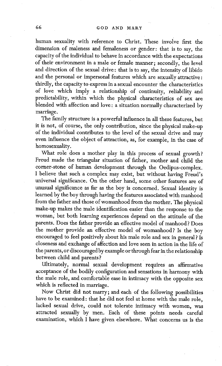human sexuality with reference to Christ. These involve first the dimension of maleness and femaleness or gender: that is to say, the capacity of the individual to behave in accordance with the expectations of their environment in a male or female manner; secondly, the level and direction of the sexual drive : that is to say, the intensity of libido and the personal or impersonal features which are sexually attractive : thirdly, the capacity to express in a sexual encounter the characteristics of love which imply a relationship of continuity, reliability and predictability, within which the physical characteristics of sex are blended with affection and love: a situation normally characterized by marriage.

The family structure is a powerful influence in all these features, but it is not, of course, the only contribution, since the physical make-up of the individual contributes to the level of the sexual drive and may even influence the object of attraction, as, for example, in the case of homosexuality.

What role does a mother play in this process of sexual growth? Freud made the triangular situation of father, mother and child the corner-stone of human development through the Oedipus-complex. I believe that such a complex may exist, but without having Freud's universal significance. On the other hand, some other features are of unusual significance as far as the boy is concerned. Sexual identity is learned by the boy through having the features associated with manhood from the father and those of womanhood from the mother. The physical make-up makes the male identification easier than the response to the woman, but both learning experiences depend on the attitude of the parents. Does the father provide an effective model of manhood ? Does the mother provide an effective model of womanhood? Is the boy encouraged to feel positively about his male role and sex in general ? Is closeness and exchange of affection and love seen in action in the life of the parents, or discouraged by example or through fear in the relationship between child and parents ?

Ultimately, normal sexual development requires an affirmative acceptance of the bodily configuration and sensations in harmony with the male role, and comfortable ease in intimacy with the opposite sex which is reflected in marriage.

Now Christ did not marry; and each of the following possibilities have to be examined : that he did not feel at home with the male role, lacked sexual drive, could not tolerate intimacy with women, was attracted sexually by men. Each of these points needs careful examination, which I have given elsewhere. What concerns us is the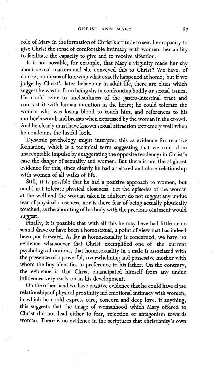role of Mary in the formation of Christ's attitude to sex, her capacity to give Christ the sense of comfortable intimacy with women, her ability to facilitate the capacity to give and to receive affection.

Is it not possible, for example, that Mary's virginity made her shy about sexual matters and she conveyed this to Christ? We have, of course, no means of knowing what exactly happened at home; but if we judge by Christ's later behaviour in adult life, there are clues which suggest he was far from being shy in confronting bodily or sexual issues. He could refer to uncleanliness of the gastro-intestinal tract and contrast it with human intention in the heart; he could tolerate the woman who was losing blood to touch him, and references to his mother's womb and breasts when expressed by the woman in the crowd. And he clearly must have known sexual attraction extremely well when he condemns the lustful look.

Dynamic psychology might interpret this as evidence for reactive formation, which is a technical term suggesting that we control an unacceptable impulse by exaggerating the opposite tendency: in Christ's case the danger of sexuality and women. But there is not the slightest evidence for this, since clearly he had a relaxed and close relationship with women of all walks of life.

Still, it is possible that he had a positive approach to women, but could not tolerate physical closeness. Yet the episodes of the woman at the well and the woman taken in adultery do not suggest any undue fear of physical closeness, nor is there fear of being actually physically touched, as the anointing of his body with the precious ointment would suggest.

Finally, it is possible that with all this he may have had little or no sexual drive or have been a homosexual, a point of view that has indeed been put forward. As far as homosexuality is concerned, we have no evidence whatsoever that Christ exemplified one of the current psychological notions, that homosexuality in a male is associated with the presence of a powerful, overwhelming and possessive mother with whom the boy identifies in preference to his father. On the contrary, the evidence is that Christ emancipated himself from any undue influences very early on in his development.

On the other hand we have positive evidence that he could have close relationships of physical proximity and emotional intimacy with women, in which he could express care, concern and deep love. If anything, this suggests that the image of womanhood which Mary offered to Christ did not lead either to fear, rejection or antagonism towards woman. There is no evidence in the scriptures that christianity's own